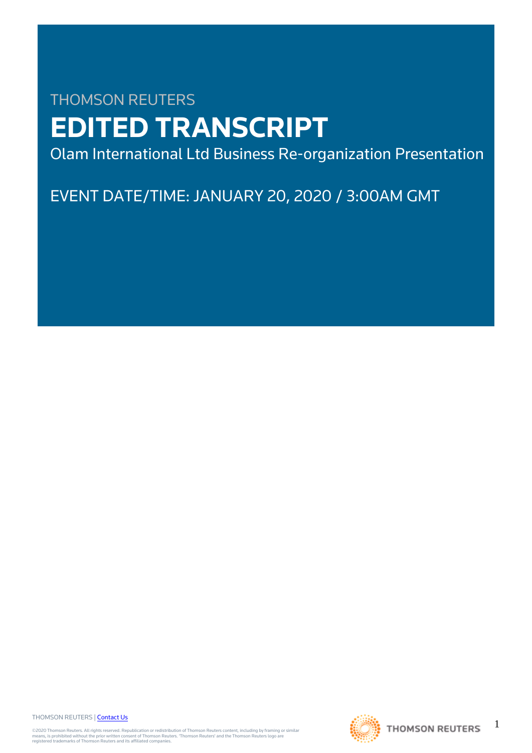# THOMSON REUTERS **EDITED TRANSCRIPT**

Olam International Ltd Business Re-organization Presentation

EVENT DATE/TIME: JANUARY 20, 2020 / 3:00AM GMT

THOMSON REUTERS | [Contact Us](https://my.thomsonreuters.com/ContactUsNew)

©2020 Thomson Reuters. All rights reserved. Republication or redistribution of Thomson Reuters content, including by framing or similar<br>means, is prohibited without the prior written consent of Thomson Reuters. 'Thomson Re



1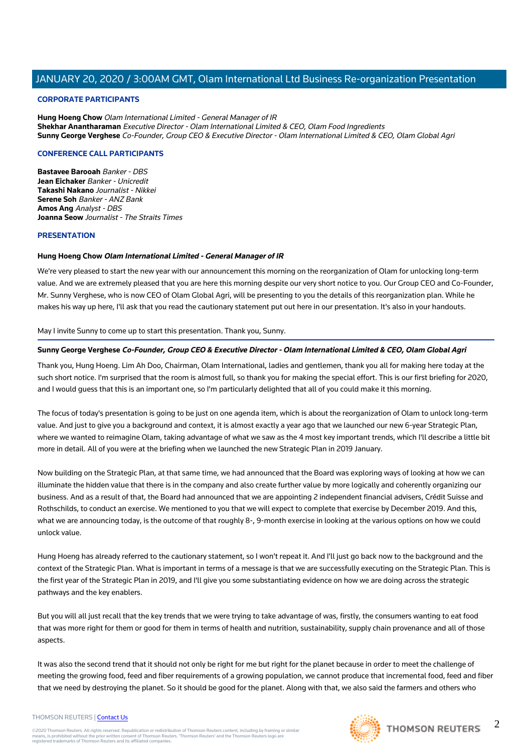#### **CORPORATE PARTICIPANTS**

**Hung Hoeng Chow** Olam International Limited - General Manager of IR **Shekhar Anantharaman** Executive Director - Olam International Limited & CEO, Olam Food Ingredients **Sunny George Verghese** Co-Founder, Group CEO & Executive Director - Olam International Limited & CEO, Olam Global Agri

#### **CONFERENCE CALL PARTICIPANTS**

**Bastavee Barooah** Banker - DBS **Jean Eichaker** Banker - Unicredit **Takashi Nakano** Journalist - Nikkei **Serene Soh** Banker - ANZ Bank **Amos Ang** Analyst - DBS **Joanna Seow** Journalist - The Straits Times

#### **PRESENTATION**

#### **Hung Hoeng Chow Olam International Limited - General Manager of IR**

We're very pleased to start the new year with our announcement this morning on the reorganization of Olam for unlocking long-term value. And we are extremely pleased that you are here this morning despite our very short notice to you. Our Group CEO and Co-Founder, Mr. Sunny Verghese, who is now CEO of Olam Global Agri, will be presenting to you the details of this reorganization plan. While he makes his way up here, I'll ask that you read the cautionary statement put out here in our presentation. It's also in your handouts.

May I invite Sunny to come up to start this presentation. Thank you, Sunny.

## **Sunny George Verghese Co-Founder, Group CEO & Executive Director - Olam International Limited & CEO, Olam Global Agri**

Thank you, Hung Hoeng. Lim Ah Doo, Chairman, Olam International, ladies and gentlemen, thank you all for making here today at the such short notice. I'm surprised that the room is almost full, so thank you for making the special effort. This is our first briefing for 2020, and I would guess that this is an important one, so I'm particularly delighted that all of you could make it this morning.

The focus of today's presentation is going to be just on one agenda item, which is about the reorganization of Olam to unlock long-term value. And just to give you a background and context, it is almost exactly a year ago that we launched our new 6-year Strategic Plan, where we wanted to reimagine Olam, taking advantage of what we saw as the 4 most key important trends, which I'll describe a little bit more in detail. All of you were at the briefing when we launched the new Strategic Plan in 2019 January.

Now building on the Strategic Plan, at that same time, we had announced that the Board was exploring ways of looking at how we can illuminate the hidden value that there is in the company and also create further value by more logically and coherently organizing our business. And as a result of that, the Board had announced that we are appointing 2 independent financial advisers, Crédit Suisse and Rothschilds, to conduct an exercise. We mentioned to you that we will expect to complete that exercise by December 2019. And this, what we are announcing today, is the outcome of that roughly 8-, 9-month exercise in looking at the various options on how we could unlock value.

Hung Hoeng has already referred to the cautionary statement, so I won't repeat it. And I'll just go back now to the background and the context of the Strategic Plan. What is important in terms of a message is that we are successfully executing on the Strategic Plan. This is the first year of the Strategic Plan in 2019, and I'll give you some substantiating evidence on how we are doing across the strategic pathways and the key enablers.

But you will all just recall that the key trends that we were trying to take advantage of was, firstly, the consumers wanting to eat food that was more right for them or good for them in terms of health and nutrition, sustainability, supply chain provenance and all of those aspects.

It was also the second trend that it should not only be right for me but right for the planet because in order to meet the challenge of meeting the growing food, feed and fiber requirements of a growing population, we cannot produce that incremental food, feed and fiber that we need by destroying the planet. So it should be good for the planet. Along with that, we also said the farmers and others who

#### THOMSON REUTERS | [Contact Us](https://my.thomsonreuters.com/ContactUsNew)

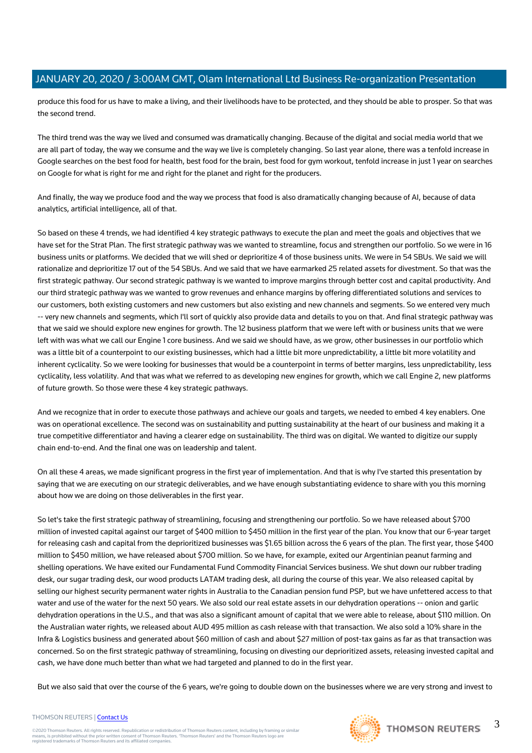produce this food for us have to make a living, and their livelihoods have to be protected, and they should be able to prosper. So that was the second trend.

The third trend was the way we lived and consumed was dramatically changing. Because of the digital and social media world that we are all part of today, the way we consume and the way we live is completely changing. So last year alone, there was a tenfold increase in Google searches on the best food for health, best food for the brain, best food for gym workout, tenfold increase in just 1 year on searches on Google for what is right for me and right for the planet and right for the producers.

And finally, the way we produce food and the way we process that food is also dramatically changing because of AI, because of data analytics, artificial intelligence, all of that.

So based on these 4 trends, we had identified 4 key strategic pathways to execute the plan and meet the goals and objectives that we have set for the Strat Plan. The first strategic pathway was we wanted to streamline, focus and strengthen our portfolio. So we were in 16 business units or platforms. We decided that we will shed or deprioritize 4 of those business units. We were in 54 SBUs. We said we will rationalize and deprioritize 17 out of the 54 SBUs. And we said that we have earmarked 25 related assets for divestment. So that was the first strategic pathway. Our second strategic pathway is we wanted to improve margins through better cost and capital productivity. And our third strategic pathway was we wanted to grow revenues and enhance margins by offering differentiated solutions and services to our customers, both existing customers and new customers but also existing and new channels and segments. So we entered very much -- very new channels and segments, which I'll sort of quickly also provide data and details to you on that. And final strategic pathway was that we said we should explore new engines for growth. The 12 business platform that we were left with or business units that we were left with was what we call our Engine 1 core business. And we said we should have, as we grow, other businesses in our portfolio which was a little bit of a counterpoint to our existing businesses, which had a little bit more unpredictability, a little bit more volatility and inherent cyclicality. So we were looking for businesses that would be a counterpoint in terms of better margins, less unpredictability, less cyclicality, less volatility. And that was what we referred to as developing new engines for growth, which we call Engine 2, new platforms of future growth. So those were these 4 key strategic pathways.

And we recognize that in order to execute those pathways and achieve our goals and targets, we needed to embed 4 key enablers. One was on operational excellence. The second was on sustainability and putting sustainability at the heart of our business and making it a true competitive differentiator and having a clearer edge on sustainability. The third was on digital. We wanted to digitize our supply chain end-to-end. And the final one was on leadership and talent.

On all these 4 areas, we made significant progress in the first year of implementation. And that is why I've started this presentation by saying that we are executing on our strategic deliverables, and we have enough substantiating evidence to share with you this morning about how we are doing on those deliverables in the first year.

So let's take the first strategic pathway of streamlining, focusing and strengthening our portfolio. So we have released about \$700 million of invested capital against our target of \$400 million to \$450 million in the first year of the plan. You know that our 6-year target for releasing cash and capital from the deprioritized businesses was \$1.65 billion across the 6 years of the plan. The first year, those \$400 million to \$450 million, we have released about \$700 million. So we have, for example, exited our Argentinian peanut farming and shelling operations. We have exited our Fundamental Fund Commodity Financial Services business. We shut down our rubber trading desk, our sugar trading desk, our wood products LATAM trading desk, all during the course of this year. We also released capital by selling our highest security permanent water rights in Australia to the Canadian pension fund PSP, but we have unfettered access to that water and use of the water for the next 50 years. We also sold our real estate assets in our dehydration operations -- onion and garlic dehydration operations in the U.S., and that was also a significant amount of capital that we were able to release, about \$110 million. On the Australian water rights, we released about AUD 495 million as cash release with that transaction. We also sold a 10% share in the Infra & Logistics business and generated about \$60 million of cash and about \$27 million of post-tax gains as far as that transaction was concerned. So on the first strategic pathway of streamlining, focusing on divesting our deprioritized assets, releasing invested capital and cash, we have done much better than what we had targeted and planned to do in the first year.

But we also said that over the course of the 6 years, we're going to double down on the businesses where we are very strong and invest to

#### THOMSON REUTERS | [Contact Us](https://my.thomsonreuters.com/ContactUsNew)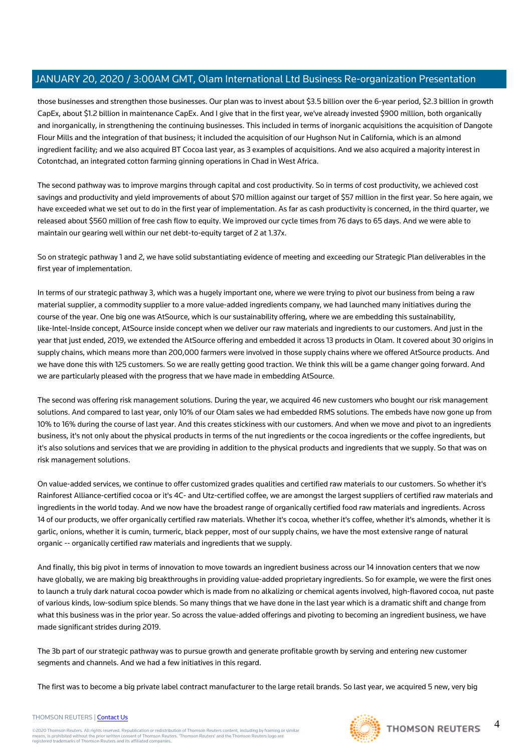those businesses and strengthen those businesses. Our plan was to invest about \$3.5 billion over the 6-year period, \$2.3 billion in growth CapEx, about \$1.2 billion in maintenance CapEx. And I give that in the first year, we've already invested \$900 million, both organically and inorganically, in strengthening the continuing businesses. This included in terms of inorganic acquisitions the acquisition of Dangote Flour Mills and the integration of that business; it included the acquisition of our Hughson Nut in California, which is an almond ingredient facility; and we also acquired BT Cocoa last year, as 3 examples of acquisitions. And we also acquired a majority interest in Cotontchad, an integrated cotton farming ginning operations in Chad in West Africa.

The second pathway was to improve margins through capital and cost productivity. So in terms of cost productivity, we achieved cost savings and productivity and yield improvements of about \$70 million against our target of \$57 million in the first year. So here again, we have exceeded what we set out to do in the first year of implementation. As far as cash productivity is concerned, in the third quarter, we released about \$560 million of free cash flow to equity. We improved our cycle times from 76 days to 65 days. And we were able to maintain our gearing well within our net debt-to-equity target of 2 at 1.37x.

So on strategic pathway 1 and 2, we have solid substantiating evidence of meeting and exceeding our Strategic Plan deliverables in the first year of implementation.

In terms of our strategic pathway 3, which was a hugely important one, where we were trying to pivot our business from being a raw material supplier, a commodity supplier to a more value-added ingredients company, we had launched many initiatives during the course of the year. One big one was AtSource, which is our sustainability offering, where we are embedding this sustainability, like-Intel-Inside concept, AtSource inside concept when we deliver our raw materials and ingredients to our customers. And just in the year that just ended, 2019, we extended the AtSource offering and embedded it across 13 products in Olam. It covered about 30 origins in supply chains, which means more than 200,000 farmers were involved in those supply chains where we offered AtSource products. And we have done this with 125 customers. So we are really getting good traction. We think this will be a game changer going forward. And we are particularly pleased with the progress that we have made in embedding AtSource.

The second was offering risk management solutions. During the year, we acquired 46 new customers who bought our risk management solutions. And compared to last year, only 10% of our Olam sales we had embedded RMS solutions. The embeds have now gone up from 10% to 16% during the course of last year. And this creates stickiness with our customers. And when we move and pivot to an ingredients business, it's not only about the physical products in terms of the nut ingredients or the cocoa ingredients or the coffee ingredients, but it's also solutions and services that we are providing in addition to the physical products and ingredients that we supply. So that was on risk management solutions.

On value-added services, we continue to offer customized grades qualities and certified raw materials to our customers. So whether it's Rainforest Alliance-certified cocoa or it's 4C- and Utz-certified coffee, we are amongst the largest suppliers of certified raw materials and ingredients in the world today. And we now have the broadest range of organically certified food raw materials and ingredients. Across 14 of our products, we offer organically certified raw materials. Whether it's cocoa, whether it's coffee, whether it's almonds, whether it is garlic, onions, whether it is cumin, turmeric, black pepper, most of our supply chains, we have the most extensive range of natural organic -- organically certified raw materials and ingredients that we supply.

And finally, this big pivot in terms of innovation to move towards an ingredient business across our 14 innovation centers that we now have globally, we are making big breakthroughs in providing value-added proprietary ingredients. So for example, we were the first ones to launch a truly dark natural cocoa powder which is made from no alkalizing or chemical agents involved, high-flavored cocoa, nut paste of various kinds, low-sodium spice blends. So many things that we have done in the last year which is a dramatic shift and change from what this business was in the prior year. So across the value-added offerings and pivoting to becoming an ingredient business, we have made significant strides during 2019.

The 3b part of our strategic pathway was to pursue growth and generate profitable growth by serving and entering new customer segments and channels. And we had a few initiatives in this regard.

The first was to become a big private label contract manufacturer to the large retail brands. So last year, we acquired 5 new, very big



## THOMSON REUTERS | [Contact Us](https://my.thomsonreuters.com/ContactUsNew)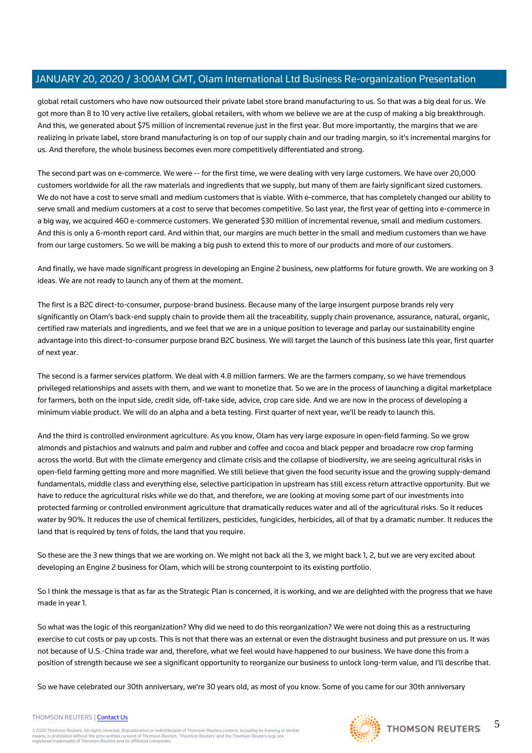global retail customers who have now outsourced their private label store brand manufacturing to us. So that was a big deal for us. We got more than 8 to 10 very active live retailers, global retailers, with whom we believe we are at the cusp of making a big breakthrough. And this, we generated about \$75 million of incremental revenue just in the first year. But more importantly, the margins that we are realizing in private label, store brand manufacturing is on top of our supply chain and our trading margin, so it's incremental margins for us. And therefore, the whole business becomes even more competitively differentiated and strong.

The second part was on e-commerce. We were -- for the first time, we were dealing with very large customers. We have over 20,000 customers worldwide for all the raw materials and ingredients that we supply, but many of them are fairly significant sized customers. We do not have a cost to serve small and medium customers that is viable. With e-commerce, that has completely changed our ability to serve small and medium customers at a cost to serve that becomes competitive. So last year, the first year of getting into e-commerce in a big way, we acquired 460 e-commerce customers. We generated \$30 million of incremental revenue, small and medium customers. And this is only a 6-month report card. And within that, our margins are much better in the small and medium customers than we have from our large customers. So we will be making a big push to extend this to more of our products and more of our customers.

And finally, we have made significant progress in developing an Engine 2 business, new platforms for future growth. We are working on 3 ideas. We are not ready to launch any of them at the moment.

The first is a B2C direct-to-consumer, purpose-brand business. Because many of the large insurgent purpose brands rely very significantly on Olam's back-end supply chain to provide them all the traceability, supply chain provenance, assurance, natural, organic, certified raw materials and ingredients, and we feel that we are in a unique position to leverage and parlay our sustainability engine advantage into this direct-to-consumer purpose brand B2C business. We will target the launch of this business late this year, first quarter of next year.

The second is a farmer services platform. We deal with 4.8 million farmers. We are the farmers company, so we have tremendous privileged relationships and assets with them, and we want to monetize that. So we are in the process of launching a digital marketplace for farmers, both on the input side, credit side, off-take side, advice, crop care side. And we are now in the process of developing a minimum viable product. We will do an alpha and a beta testing. First quarter of next year, we'll be ready to launch this.

And the third is controlled environment agriculture. As you know, Olam has very large exposure in open-field farming. So we grow almonds and pistachios and walnuts and palm and rubber and coffee and cocoa and black pepper and broadacre row crop farming across the world. But with the climate emergency and climate crisis and the collapse of biodiversity, we are seeing agricultural risks in open-field farming getting more and more magnified. We still believe that given the food security issue and the growing supply-demand fundamentals, middle class and everything else, selective participation in upstream has still excess return attractive opportunity. But we have to reduce the agricultural risks while we do that, and therefore, we are looking at moving some part of our investments into protected farming or controlled environment agriculture that dramatically reduces water and all of the agricultural risks. So it reduces water by 90%. It reduces the use of chemical fertilizers, pesticides, fungicides, herbicides, all of that by a dramatic number. It reduces the land that is required by tens of folds, the land that you require.

So these are the 3 new things that we are working on. We might not back all the 3, we might back 1, 2, but we are very excited about developing an Engine 2 business for Olam, which will be strong counterpoint to its existing portfolio.

So I think the message is that as far as the Strategic Plan is concerned, it is working, and we are delighted with the progress that we have made in year 1.

So what was the logic of this reorganization? Why did we need to do this reorganization? We were not doing this as a restructuring exercise to cut costs or pay up costs. This is not that there was an external or even the distraught business and put pressure on us. It was not because of U.S.-China trade war and, therefore, what we feel would have happened to our business. We have done this from a position of strength because we see a significant opportunity to reorganize our business to unlock long-term value, and I'll describe that.

So we have celebrated our 30th anniversary, we're 30 years old, as most of you know. Some of you came for our 30th anniversary

#### THOMSON REUTERS | [Contact Us](https://my.thomsonreuters.com/ContactUsNew)

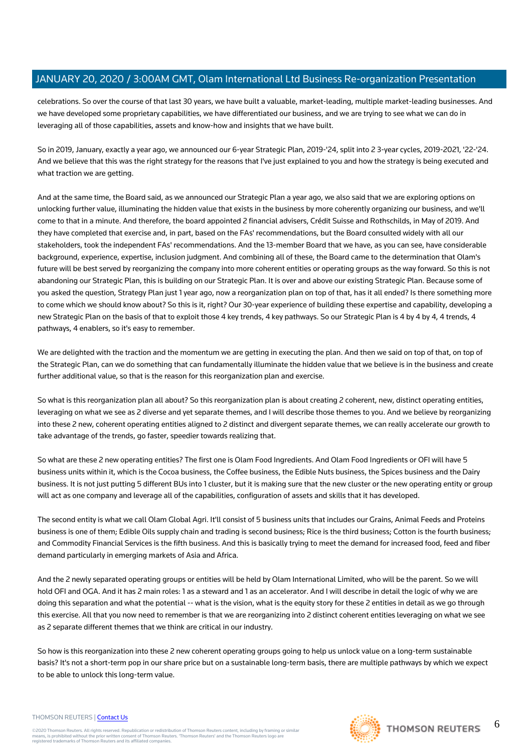celebrations. So over the course of that last 30 years, we have built a valuable, market-leading, multiple market-leading businesses. And we have developed some proprietary capabilities, we have differentiated our business, and we are trying to see what we can do in leveraging all of those capabilities, assets and know-how and insights that we have built.

So in 2019, January, exactly a year ago, we announced our 6-year Strategic Plan, 2019-'24, split into 2 3-year cycles, 2019-2021, '22-'24. And we believe that this was the right strategy for the reasons that I've just explained to you and how the strategy is being executed and what traction we are getting.

And at the same time, the Board said, as we announced our Strategic Plan a year ago, we also said that we are exploring options on unlocking further value, illuminating the hidden value that exists in the business by more coherently organizing our business, and we'll come to that in a minute. And therefore, the board appointed 2 financial advisers, Crédit Suisse and Rothschilds, in May of 2019. And they have completed that exercise and, in part, based on the FAs' recommendations, but the Board consulted widely with all our stakeholders, took the independent FAs' recommendations. And the 13-member Board that we have, as you can see, have considerable background, experience, expertise, inclusion judgment. And combining all of these, the Board came to the determination that Olam's future will be best served by reorganizing the company into more coherent entities or operating groups as the way forward. So this is not abandoning our Strategic Plan, this is building on our Strategic Plan. It is over and above our existing Strategic Plan. Because some of you asked the question, Strategy Plan just 1 year ago, now a reorganization plan on top of that, has it all ended? Is there something more to come which we should know about? So this is it, right? Our 30-year experience of building these expertise and capability, developing a new Strategic Plan on the basis of that to exploit those 4 key trends, 4 key pathways. So our Strategic Plan is 4 by 4 by 4, 4 trends, 4 pathways, 4 enablers, so it's easy to remember.

We are delighted with the traction and the momentum we are getting in executing the plan. And then we said on top of that, on top of the Strategic Plan, can we do something that can fundamentally illuminate the hidden value that we believe is in the business and create further additional value, so that is the reason for this reorganization plan and exercise.

So what is this reorganization plan all about? So this reorganization plan is about creating 2 coherent, new, distinct operating entities, leveraging on what we see as 2 diverse and yet separate themes, and I will describe those themes to you. And we believe by reorganizing into these 2 new, coherent operating entities aligned to 2 distinct and divergent separate themes, we can really accelerate our growth to take advantage of the trends, go faster, speedier towards realizing that.

So what are these 2 new operating entities? The first one is Olam Food Ingredients. And Olam Food Ingredients or OFI will have 5 business units within it, which is the Cocoa business, the Coffee business, the Edible Nuts business, the Spices business and the Dairy business. It is not just putting 5 different BUs into 1 cluster, but it is making sure that the new cluster or the new operating entity or group will act as one company and leverage all of the capabilities, configuration of assets and skills that it has developed.

The second entity is what we call Olam Global Agri. It'll consist of 5 business units that includes our Grains, Animal Feeds and Proteins business is one of them; Edible Oils supply chain and trading is second business; Rice is the third business; Cotton is the fourth business; and Commodity Financial Services is the fifth business. And this is basically trying to meet the demand for increased food, feed and fiber demand particularly in emerging markets of Asia and Africa.

And the 2 newly separated operating groups or entities will be held by Olam International Limited, who will be the parent. So we will hold OFI and OGA. And it has 2 main roles: 1 as a steward and 1 as an accelerator. And I will describe in detail the logic of why we are doing this separation and what the potential -- what is the vision, what is the equity story for these 2 entities in detail as we go through this exercise. All that you now need to remember is that we are reorganizing into 2 distinct coherent entities leveraging on what we see as 2 separate different themes that we think are critical in our industry.

So how is this reorganization into these 2 new coherent operating groups going to help us unlock value on a long-term sustainable basis? It's not a short-term pop in our share price but on a sustainable long-term basis, there are multiple pathways by which we expect to be able to unlock this long-term value.

#### THOMSON REUTERS | [Contact Us](https://my.thomsonreuters.com/ContactUsNew)

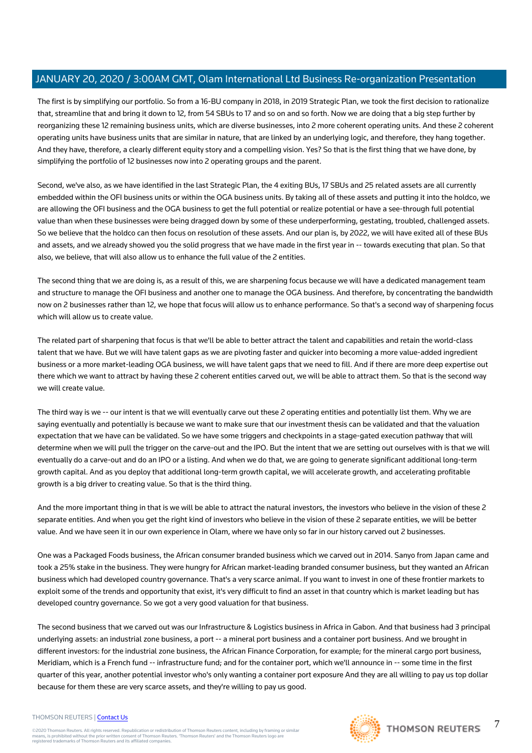The first is by simplifying our portfolio. So from a 16-BU company in 2018, in 2019 Strategic Plan, we took the first decision to rationalize that, streamline that and bring it down to 12, from 54 SBUs to 17 and so on and so forth. Now we are doing that a big step further by reorganizing these 12 remaining business units, which are diverse businesses, into 2 more coherent operating units. And these 2 coherent operating units have business units that are similar in nature, that are linked by an underlying logic, and therefore, they hang together. And they have, therefore, a clearly different equity story and a compelling vision. Yes? So that is the first thing that we have done, by simplifying the portfolio of 12 businesses now into 2 operating groups and the parent.

Second, we've also, as we have identified in the last Strategic Plan, the 4 exiting BUs, 17 SBUs and 25 related assets are all currently embedded within the OFI business units or within the OGA business units. By taking all of these assets and putting it into the holdco, we are allowing the OFI business and the OGA business to get the full potential or realize potential or have a see-through full potential value than when these businesses were being dragged down by some of these underperforming, gestating, troubled, challenged assets. So we believe that the holdco can then focus on resolution of these assets. And our plan is, by 2022, we will have exited all of these BUs and assets, and we already showed you the solid progress that we have made in the first year in -- towards executing that plan. So that also, we believe, that will also allow us to enhance the full value of the 2 entities.

The second thing that we are doing is, as a result of this, we are sharpening focus because we will have a dedicated management team and structure to manage the OFI business and another one to manage the OGA business. And therefore, by concentrating the bandwidth now on 2 businesses rather than 12, we hope that focus will allow us to enhance performance. So that's a second way of sharpening focus which will allow us to create value.

The related part of sharpening that focus is that we'll be able to better attract the talent and capabilities and retain the world-class talent that we have. But we will have talent gaps as we are pivoting faster and quicker into becoming a more value-added ingredient business or a more market-leading OGA business, we will have talent gaps that we need to fill. And if there are more deep expertise out there which we want to attract by having these 2 coherent entities carved out, we will be able to attract them. So that is the second way we will create value.

The third way is we -- our intent is that we will eventually carve out these 2 operating entities and potentially list them. Why we are saying eventually and potentially is because we want to make sure that our investment thesis can be validated and that the valuation expectation that we have can be validated. So we have some triggers and checkpoints in a stage-gated execution pathway that will determine when we will pull the trigger on the carve-out and the IPO. But the intent that we are setting out ourselves with is that we will eventually do a carve-out and do an IPO or a listing. And when we do that, we are going to generate significant additional long-term growth capital. And as you deploy that additional long-term growth capital, we will accelerate growth, and accelerating profitable growth is a big driver to creating value. So that is the third thing.

And the more important thing in that is we will be able to attract the natural investors, the investors who believe in the vision of these 2 separate entities. And when you get the right kind of investors who believe in the vision of these 2 separate entities, we will be better value. And we have seen it in our own experience in Olam, where we have only so far in our history carved out 2 businesses.

One was a Packaged Foods business, the African consumer branded business which we carved out in 2014. Sanyo from Japan came and took a 25% stake in the business. They were hungry for African market-leading branded consumer business, but they wanted an African business which had developed country governance. That's a very scarce animal. If you want to invest in one of these frontier markets to exploit some of the trends and opportunity that exist, it's very difficult to find an asset in that country which is market leading but has developed country governance. So we got a very good valuation for that business.

The second business that we carved out was our Infrastructure & Logistics business in Africa in Gabon. And that business had 3 principal underlying assets: an industrial zone business, a port -- a mineral port business and a container port business. And we brought in different investors: for the industrial zone business, the African Finance Corporation, for example; for the mineral cargo port business, Meridiam, which is a French fund -- infrastructure fund; and for the container port, which we'll announce in -- some time in the first quarter of this year, another potential investor who's only wanting a container port exposure And they are all willing to pay us top dollar because for them these are very scarce assets, and they're willing to pay us good.

#### THOMSON REUTERS | [Contact Us](https://my.thomsonreuters.com/ContactUsNew)

©2020 Thomson Reuters. All rights reserved. Republication or redistribution of Thomson Reuters content, including by framing or similar<br>means, is prohibited without the prior written consent of Thomson Reuters. 'Thomson Re



7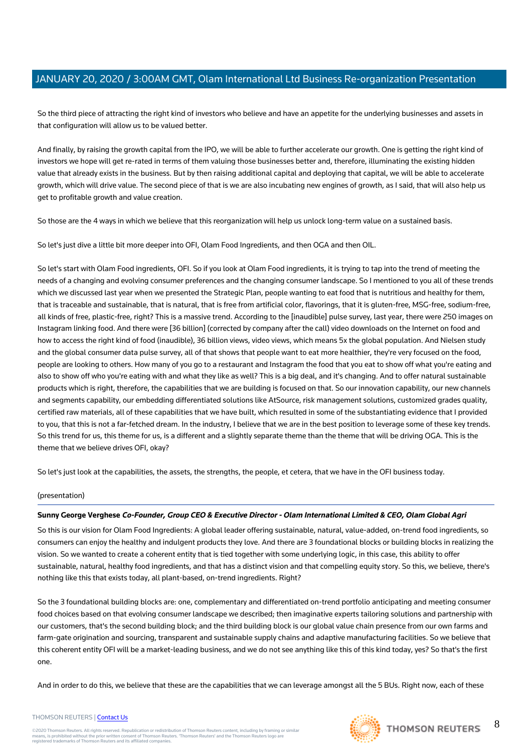So the third piece of attracting the right kind of investors who believe and have an appetite for the underlying businesses and assets in that configuration will allow us to be valued better.

And finally, by raising the growth capital from the IPO, we will be able to further accelerate our growth. One is getting the right kind of investors we hope will get re-rated in terms of them valuing those businesses better and, therefore, illuminating the existing hidden value that already exists in the business. But by then raising additional capital and deploying that capital, we will be able to accelerate growth, which will drive value. The second piece of that is we are also incubating new engines of growth, as I said, that will also help us get to profitable growth and value creation.

So those are the 4 ways in which we believe that this reorganization will help us unlock long-term value on a sustained basis.

So let's just dive a little bit more deeper into OFI, Olam Food Ingredients, and then OGA and then OIL.

So let's start with Olam Food ingredients, OFI. So if you look at Olam Food ingredients, it is trying to tap into the trend of meeting the needs of a changing and evolving consumer preferences and the changing consumer landscape. So I mentioned to you all of these trends which we discussed last year when we presented the Strategic Plan, people wanting to eat food that is nutritious and healthy for them, that is traceable and sustainable, that is natural, that is free from artificial color, flavorings, that it is gluten-free, MSG-free, sodium-free, all kinds of free, plastic-free, right? This is a massive trend. According to the [inaudible] pulse survey, last year, there were 250 images on Instagram linking food. And there were [36 billion] (corrected by company after the call) video downloads on the Internet on food and how to access the right kind of food (inaudible), 36 billion views, video views, which means 5x the global population. And Nielsen study and the global consumer data pulse survey, all of that shows that people want to eat more healthier, they're very focused on the food, people are looking to others. How many of you go to a restaurant and Instagram the food that you eat to show off what you're eating and also to show off who you're eating with and what they like as well? This is a big deal, and it's changing. And to offer natural sustainable products which is right, therefore, the capabilities that we are building is focused on that. So our innovation capability, our new channels and segments capability, our embedding differentiated solutions like AtSource, risk management solutions, customized grades quality, certified raw materials, all of these capabilities that we have built, which resulted in some of the substantiating evidence that I provided to you, that this is not a far-fetched dream. In the industry, I believe that we are in the best position to leverage some of these key trends. So this trend for us, this theme for us, is a different and a slightly separate theme than the theme that will be driving OGA. This is the theme that we believe drives OFI, okay?

So let's just look at the capabilities, the assets, the strengths, the people, et cetera, that we have in the OFI business today.

## (presentation)

## **Sunny George Verghese Co-Founder, Group CEO & Executive Director - Olam International Limited & CEO, Olam Global Agri**

So this is our vision for Olam Food Ingredients: A global leader offering sustainable, natural, value-added, on-trend food ingredients, so consumers can enjoy the healthy and indulgent products they love. And there are 3 foundational blocks or building blocks in realizing the vision. So we wanted to create a coherent entity that is tied together with some underlying logic, in this case, this ability to offer sustainable, natural, healthy food ingredients, and that has a distinct vision and that compelling equity story. So this, we believe, there's nothing like this that exists today, all plant-based, on-trend ingredients. Right?

So the 3 foundational building blocks are: one, complementary and differentiated on-trend portfolio anticipating and meeting consumer food choices based on that evolving consumer landscape we described; then imaginative experts tailoring solutions and partnership with our customers, that's the second building block; and the third building block is our global value chain presence from our own farms and farm-gate origination and sourcing, transparent and sustainable supply chains and adaptive manufacturing facilities. So we believe that this coherent entity OFI will be a market-leading business, and we do not see anything like this of this kind today, yes? So that's the first one.

And in order to do this, we believe that these are the capabilities that we can leverage amongst all the 5 BUs. Right now, each of these



8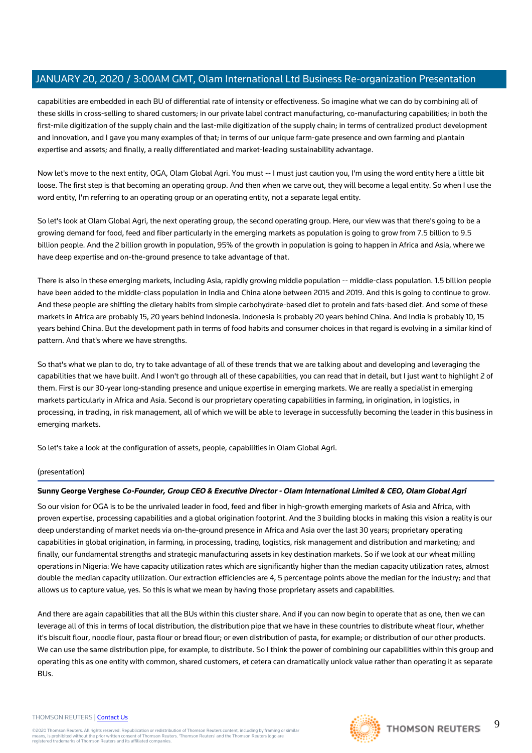capabilities are embedded in each BU of differential rate of intensity or effectiveness. So imagine what we can do by combining all of these skills in cross-selling to shared customers; in our private label contract manufacturing, co-manufacturing capabilities; in both the first-mile digitization of the supply chain and the last-mile digitization of the supply chain; in terms of centralized product development and innovation, and I gave you many examples of that; in terms of our unique farm-gate presence and own farming and plantain expertise and assets; and finally, a really differentiated and market-leading sustainability advantage.

Now let's move to the next entity, OGA, Olam Global Agri. You must -- I must just caution you, I'm using the word entity here a little bit loose. The first step is that becoming an operating group. And then when we carve out, they will become a legal entity. So when I use the word entity, I'm referring to an operating group or an operating entity, not a separate legal entity.

So let's look at Olam Global Agri, the next operating group, the second operating group. Here, our view was that there's going to be a growing demand for food, feed and fiber particularly in the emerging markets as population is going to grow from 7.5 billion to 9.5 billion people. And the 2 billion growth in population, 95% of the growth in population is going to happen in Africa and Asia, where we have deep expertise and on-the-ground presence to take advantage of that.

There is also in these emerging markets, including Asia, rapidly growing middle population -- middle-class population. 1.5 billion people have been added to the middle-class population in India and China alone between 2015 and 2019. And this is going to continue to grow. And these people are shifting the dietary habits from simple carbohydrate-based diet to protein and fats-based diet. And some of these markets in Africa are probably 15, 20 years behind Indonesia. Indonesia is probably 20 years behind China. And India is probably 10, 15 years behind China. But the development path in terms of food habits and consumer choices in that regard is evolving in a similar kind of pattern. And that's where we have strengths.

So that's what we plan to do, try to take advantage of all of these trends that we are talking about and developing and leveraging the capabilities that we have built. And I won't go through all of these capabilities, you can read that in detail, but I just want to highlight 2 of them. First is our 30-year long-standing presence and unique expertise in emerging markets. We are really a specialist in emerging markets particularly in Africa and Asia. Second is our proprietary operating capabilities in farming, in origination, in logistics, in processing, in trading, in risk management, all of which we will be able to leverage in successfully becoming the leader in this business in emerging markets.

So let's take a look at the configuration of assets, people, capabilities in Olam Global Agri.

## (presentation)

## **Sunny George Verghese Co-Founder, Group CEO & Executive Director - Olam International Limited & CEO, Olam Global Agri**

So our vision for OGA is to be the unrivaled leader in food, feed and fiber in high-growth emerging markets of Asia and Africa, with proven expertise, processing capabilities and a global origination footprint. And the 3 building blocks in making this vision a reality is our deep understanding of market needs via on-the-ground presence in Africa and Asia over the last 30 years; proprietary operating capabilities in global origination, in farming, in processing, trading, logistics, risk management and distribution and marketing; and finally, our fundamental strengths and strategic manufacturing assets in key destination markets. So if we look at our wheat milling operations in Nigeria: We have capacity utilization rates which are significantly higher than the median capacity utilization rates, almost double the median capacity utilization. Our extraction efficiencies are 4, 5 percentage points above the median for the industry; and that allows us to capture value, yes. So this is what we mean by having those proprietary assets and capabilities.

And there are again capabilities that all the BUs within this cluster share. And if you can now begin to operate that as one, then we can leverage all of this in terms of local distribution, the distribution pipe that we have in these countries to distribute wheat flour, whether it's biscuit flour, noodle flour, pasta flour or bread flour; or even distribution of pasta, for example; or distribution of our other products. We can use the same distribution pipe, for example, to distribute. So I think the power of combining our capabilities within this group and operating this as one entity with common, shared customers, et cetera can dramatically unlock value rather than operating it as separate BUs.

#### THOMSON REUTERS | [Contact Us](https://my.thomsonreuters.com/ContactUsNew)

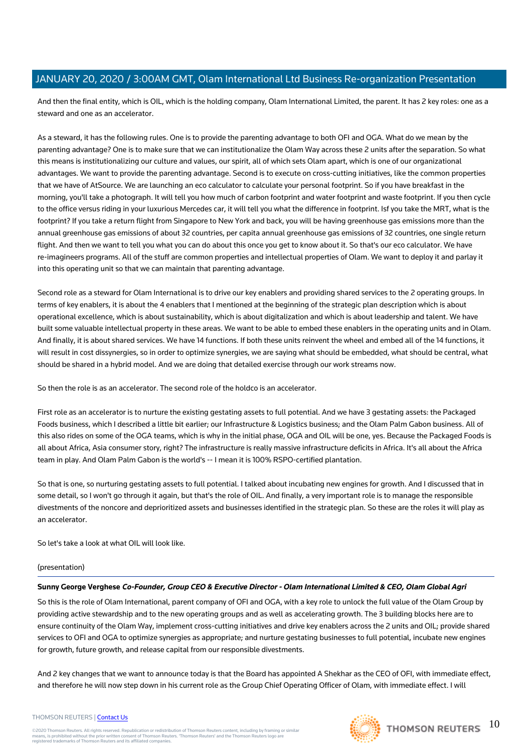And then the final entity, which is OIL, which is the holding company, Olam International Limited, the parent. It has 2 key roles: one as a steward and one as an accelerator.

As a steward, it has the following rules. One is to provide the parenting advantage to both OFI and OGA. What do we mean by the parenting advantage? One is to make sure that we can institutionalize the Olam Way across these 2 units after the separation. So what this means is institutionalizing our culture and values, our spirit, all of which sets Olam apart, which is one of our organizational advantages. We want to provide the parenting advantage. Second is to execute on cross-cutting initiatives, like the common properties that we have of AtSource. We are launching an eco calculator to calculate your personal footprint. So if you have breakfast in the morning, you'll take a photograph. It will tell you how much of carbon footprint and water footprint and waste footprint. If you then cycle to the office versus riding in your luxurious Mercedes car, it will tell you what the difference in footprint. Isf you take the MRT, what is the footprint? If you take a return flight from Singapore to New York and back, you will be having greenhouse gas emissions more than the annual greenhouse gas emissions of about 32 countries, per capita annual greenhouse gas emissions of 32 countries, one single return flight. And then we want to tell you what you can do about this once you get to know about it. So that's our eco calculator. We have re-imagineers programs. All of the stuff are common properties and intellectual properties of Olam. We want to deploy it and parlay it into this operating unit so that we can maintain that parenting advantage.

Second role as a steward for Olam International is to drive our key enablers and providing shared services to the 2 operating groups. In terms of key enablers, it is about the 4 enablers that I mentioned at the beginning of the strategic plan description which is about operational excellence, which is about sustainability, which is about digitalization and which is about leadership and talent. We have built some valuable intellectual property in these areas. We want to be able to embed these enablers in the operating units and in Olam. And finally, it is about shared services. We have 14 functions. If both these units reinvent the wheel and embed all of the 14 functions, it will result in cost dissynergies, so in order to optimize synergies, we are saying what should be embedded, what should be central, what should be shared in a hybrid model. And we are doing that detailed exercise through our work streams now.

So then the role is as an accelerator. The second role of the holdco is an accelerator.

First role as an accelerator is to nurture the existing gestating assets to full potential. And we have 3 gestating assets: the Packaged Foods business, which I described a little bit earlier; our Infrastructure & Logistics business; and the Olam Palm Gabon business. All of this also rides on some of the OGA teams, which is why in the initial phase, OGA and OIL will be one, yes. Because the Packaged Foods is all about Africa, Asia consumer story, right? The infrastructure is really massive infrastructure deficits in Africa. It's all about the Africa team in play. And Olam Palm Gabon is the world's -- I mean it is 100% RSPO-certified plantation.

So that is one, so nurturing gestating assets to full potential. I talked about incubating new engines for growth. And I discussed that in some detail, so I won't go through it again, but that's the role of OIL. And finally, a very important role is to manage the responsible divestments of the noncore and deprioritized assets and businesses identified in the strategic plan. So these are the roles it will play as an accelerator.

So let's take a look at what OIL will look like.

## (presentation)

## **Sunny George Verghese Co-Founder, Group CEO & Executive Director - Olam International Limited & CEO, Olam Global Agri**

So this is the role of Olam International, parent company of OFI and OGA, with a key role to unlock the full value of the Olam Group by providing active stewardship and to the new operating groups and as well as accelerating growth. The 3 building blocks here are to ensure continuity of the Olam Way, implement cross-cutting initiatives and drive key enablers across the 2 units and OIL; provide shared services to OFI and OGA to optimize synergies as appropriate; and nurture gestating businesses to full potential, incubate new engines for growth, future growth, and release capital from our responsible divestments.

And 2 key changes that we want to announce today is that the Board has appointed A Shekhar as the CEO of OFI, with immediate effect, and therefore he will now step down in his current role as the Group Chief Operating Officer of Olam, with immediate effect. I will

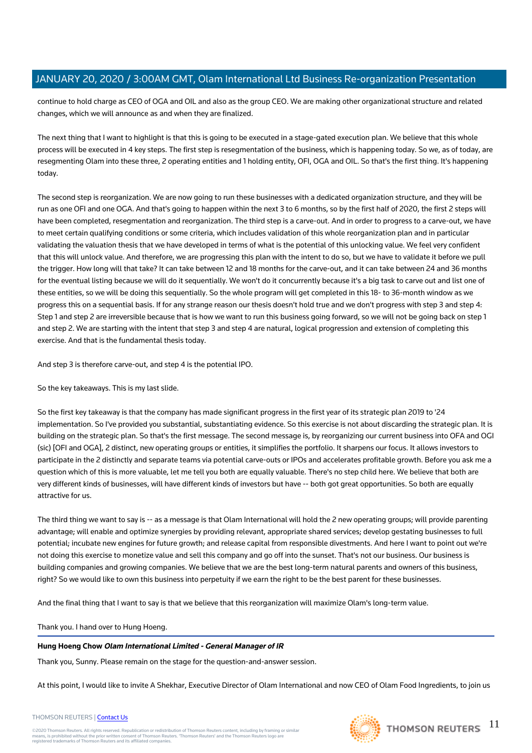continue to hold charge as CEO of OGA and OIL and also as the group CEO. We are making other organizational structure and related changes, which we will announce as and when they are finalized.

The next thing that I want to highlight is that this is going to be executed in a stage-gated execution plan. We believe that this whole process will be executed in 4 key steps. The first step is resegmentation of the business, which is happening today. So we, as of today, are resegmenting Olam into these three, 2 operating entities and 1 holding entity, OFI, OGA and OIL. So that's the first thing. It's happening today.

The second step is reorganization. We are now going to run these businesses with a dedicated organization structure, and they will be run as one OFI and one OGA. And that's going to happen within the next 3 to 6 months, so by the first half of 2020, the first 2 steps will have been completed, resegmentation and reorganization. The third step is a carve-out. And in order to progress to a carve-out, we have to meet certain qualifying conditions or some criteria, which includes validation of this whole reorganization plan and in particular validating the valuation thesis that we have developed in terms of what is the potential of this unlocking value. We feel very confident that this will unlock value. And therefore, we are progressing this plan with the intent to do so, but we have to validate it before we pull the trigger. How long will that take? It can take between 12 and 18 months for the carve-out, and it can take between 24 and 36 months for the eventual listing because we will do it sequentially. We won't do it concurrently because it's a big task to carve out and list one of these entities, so we will be doing this sequentially. So the whole program will get completed in this 18- to 36-month window as we progress this on a sequential basis. If for any strange reason our thesis doesn't hold true and we don't progress with step 3 and step 4: Step 1 and step 2 are irreversible because that is how we want to run this business going forward, so we will not be going back on step 1 and step 2. We are starting with the intent that step 3 and step 4 are natural, logical progression and extension of completing this exercise. And that is the fundamental thesis today.

And step 3 is therefore carve-out, and step 4 is the potential IPO.

So the key takeaways. This is my last slide.

So the first key takeaway is that the company has made significant progress in the first year of its strategic plan 2019 to '24 implementation. So I've provided you substantial, substantiating evidence. So this exercise is not about discarding the strategic plan. It is building on the strategic plan. So that's the first message. The second message is, by reorganizing our current business into OFA and OGI (sic) [OFI and OGA], 2 distinct, new operating groups or entities, it simplifies the portfolio. It sharpens our focus. It allows investors to participate in the 2 distinctly and separate teams via potential carve-outs or IPOs and accelerates profitable growth. Before you ask me a question which of this is more valuable, let me tell you both are equally valuable. There's no step child here. We believe that both are very different kinds of businesses, will have different kinds of investors but have -- both got great opportunities. So both are equally attractive for us.

The third thing we want to say is -- as a message is that Olam International will hold the 2 new operating groups; will provide parenting advantage; will enable and optimize synergies by providing relevant, appropriate shared services; develop gestating businesses to full potential; incubate new engines for future growth; and release capital from responsible divestments. And here I want to point out we're not doing this exercise to monetize value and sell this company and go off into the sunset. That's not our business. Our business is building companies and growing companies. We believe that we are the best long-term natural parents and owners of this business, right? So we would like to own this business into perpetuity if we earn the right to be the best parent for these businesses.

And the final thing that I want to say is that we believe that this reorganization will maximize Olam's long-term value.

Thank you. I hand over to Hung Hoeng.

## **Hung Hoeng Chow Olam International Limited - General Manager of IR**

Thank you, Sunny. Please remain on the stage for the question-and-answer session.

At this point, I would like to invite A Shekhar, Executive Director of Olam International and now CEO of Olam Food Ingredients, to join us

#### THOMSON REUTERS | [Contact Us](https://my.thomsonreuters.com/ContactUsNew)

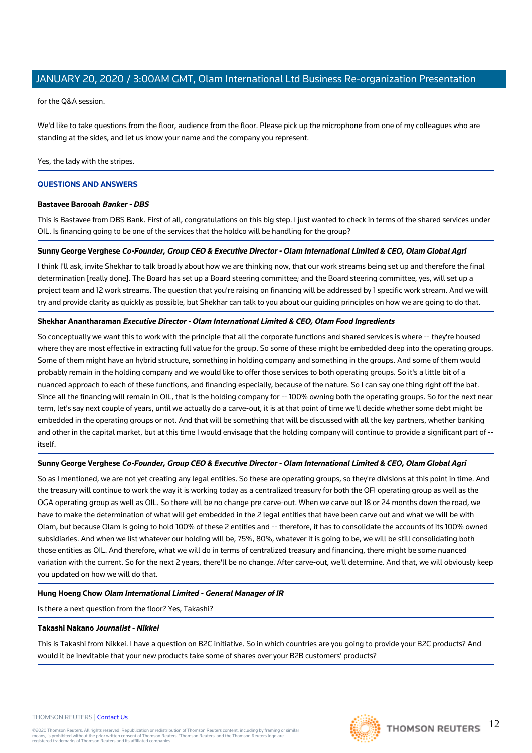for the Q&A session.

We'd like to take questions from the floor, audience from the floor. Please pick up the microphone from one of my colleagues who are standing at the sides, and let us know your name and the company you represent.

Yes, the lady with the stripes.

## **QUESTIONS AND ANSWERS**

#### **Bastavee Barooah Banker - DBS**

This is Bastavee from DBS Bank. First of all, congratulations on this big step. I just wanted to check in terms of the shared services under OIL. Is financing going to be one of the services that the holdco will be handling for the group?

#### **Sunny George Verghese Co-Founder, Group CEO & Executive Director - Olam International Limited & CEO, Olam Global Agri**

I think I'll ask, invite Shekhar to talk broadly about how we are thinking now, that our work streams being set up and therefore the final determination [really done]. The Board has set up a Board steering committee; and the Board steering committee, yes, will set up a project team and 12 work streams. The question that you're raising on financing will be addressed by 1 specific work stream. And we will try and provide clarity as quickly as possible, but Shekhar can talk to you about our guiding principles on how we are going to do that.

#### **Shekhar Anantharaman Executive Director - Olam International Limited & CEO, Olam Food Ingredients**

So conceptually we want this to work with the principle that all the corporate functions and shared services is where -- they're housed where they are most effective in extracting full value for the group. So some of these might be embedded deep into the operating groups. Some of them might have an hybrid structure, something in holding company and something in the groups. And some of them would probably remain in the holding company and we would like to offer those services to both operating groups. So it's a little bit of a nuanced approach to each of these functions, and financing especially, because of the nature. So I can say one thing right off the bat. Since all the financing will remain in OIL, that is the holding company for -- 100% owning both the operating groups. So for the next near term, let's say next couple of years, until we actually do a carve-out, it is at that point of time we'll decide whether some debt might be embedded in the operating groups or not. And that will be something that will be discussed with all the key partners, whether banking and other in the capital market, but at this time I would envisage that the holding company will continue to provide a significant part of -itself.

## **Sunny George Verghese Co-Founder, Group CEO & Executive Director - Olam International Limited & CEO, Olam Global Agri**

So as I mentioned, we are not yet creating any legal entities. So these are operating groups, so they're divisions at this point in time. And the treasury will continue to work the way it is working today as a centralized treasury for both the OFI operating group as well as the OGA operating group as well as OIL. So there will be no change pre carve-out. When we carve out 18 or 24 months down the road, we have to make the determination of what will get embedded in the 2 legal entities that have been carve out and what we will be with Olam, but because Olam is going to hold 100% of these 2 entities and -- therefore, it has to consolidate the accounts of its 100% owned subsidiaries. And when we list whatever our holding will be, 75%, 80%, whatever it is going to be, we will be still consolidating both those entities as OIL. And therefore, what we will do in terms of centralized treasury and financing, there might be some nuanced variation with the current. So for the next 2 years, there'll be no change. After carve-out, we'll determine. And that, we will obviously keep you updated on how we will do that.

## **Hung Hoeng Chow Olam International Limited - General Manager of IR**

Is there a next question from the floor? Yes, Takashi?

#### **Takashi Nakano Journalist - Nikkei**

This is Takashi from Nikkei. I have a question on B2C initiative. So in which countries are you going to provide your B2C products? And would it be inevitable that your new products take some of shares over your B2B customers' products?

#### THOMSON REUTERS | [Contact Us](https://my.thomsonreuters.com/ContactUsNew)

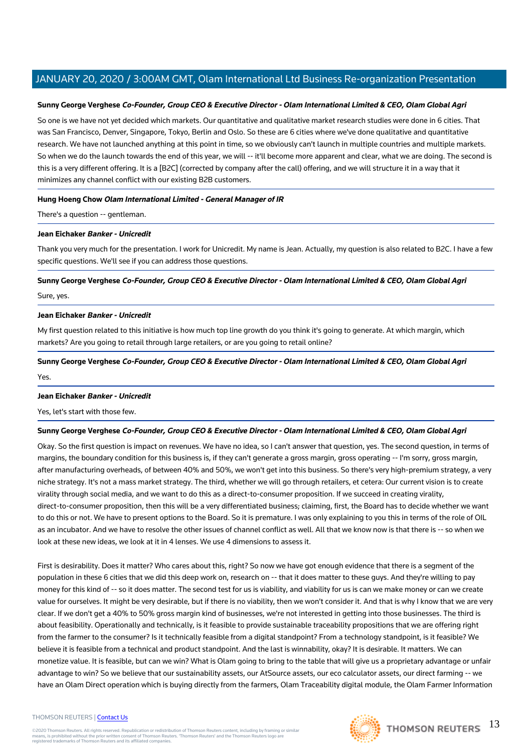#### **Sunny George Verghese Co-Founder, Group CEO & Executive Director - Olam International Limited & CEO, Olam Global Agri**

So one is we have not yet decided which markets. Our quantitative and qualitative market research studies were done in 6 cities. That was San Francisco, Denver, Singapore, Tokyo, Berlin and Oslo. So these are 6 cities where we've done qualitative and quantitative research. We have not launched anything at this point in time, so we obviously can't launch in multiple countries and multiple markets. So when we do the launch towards the end of this year, we will -- it'll become more apparent and clear, what we are doing. The second is this is a very different offering. It is a [B2C] (corrected by company after the call) offering, and we will structure it in a way that it minimizes any channel conflict with our existing B2B customers.

#### **Hung Hoeng Chow Olam International Limited - General Manager of IR**

There's a question -- gentleman.

#### **Jean Eichaker Banker - Unicredit**

Thank you very much for the presentation. I work for Unicredit. My name is Jean. Actually, my question is also related to B2C. I have a few specific questions. We'll see if you can address those questions.

# **Sunny George Verghese Co-Founder, Group CEO & Executive Director - Olam International Limited & CEO, Olam Global Agri** Sure, yes.

#### **Jean Eichaker Banker - Unicredit**

My first question related to this initiative is how much top line growth do you think it's going to generate. At which margin, which markets? Are you going to retail through large retailers, or are you going to retail online?

# **Sunny George Verghese Co-Founder, Group CEO & Executive Director - Olam International Limited & CEO, Olam Global Agri**

Yes.

#### **Jean Eichaker Banker - Unicredit**

Yes, let's start with those few.

## **Sunny George Verghese Co-Founder, Group CEO & Executive Director - Olam International Limited & CEO, Olam Global Agri**

Okay. So the first question is impact on revenues. We have no idea, so I can't answer that question, yes. The second question, in terms of margins, the boundary condition for this business is, if they can't generate a gross margin, gross operating -- I'm sorry, gross margin, after manufacturing overheads, of between 40% and 50%, we won't get into this business. So there's very high-premium strategy, a very niche strategy. It's not a mass market strategy. The third, whether we will go through retailers, et cetera: Our current vision is to create virality through social media, and we want to do this as a direct-to-consumer proposition. If we succeed in creating virality, direct-to-consumer proposition, then this will be a very differentiated business; claiming, first, the Board has to decide whether we want to do this or not. We have to present options to the Board. So it is premature. I was only explaining to you this in terms of the role of OIL as an incubator. And we have to resolve the other issues of channel conflict as well. All that we know now is that there is -- so when we look at these new ideas, we look at it in 4 lenses. We use 4 dimensions to assess it.

First is desirability. Does it matter? Who cares about this, right? So now we have got enough evidence that there is a segment of the population in these 6 cities that we did this deep work on, research on -- that it does matter to these guys. And they're willing to pay money for this kind of -- so it does matter. The second test for us is viability, and viability for us is can we make money or can we create value for ourselves. It might be very desirable, but if there is no viability, then we won't consider it. And that is why I know that we are very clear. If we don't get a 40% to 50% gross margin kind of businesses, we're not interested in getting into those businesses. The third is about feasibility. Operationally and technically, is it feasible to provide sustainable traceability propositions that we are offering right from the farmer to the consumer? Is it technically feasible from a digital standpoint? From a technology standpoint, is it feasible? We believe it is feasible from a technical and product standpoint. And the last is winnability, okay? It is desirable. It matters. We can monetize value. It is feasible, but can we win? What is Olam going to bring to the table that will give us a proprietary advantage or unfair advantage to win? So we believe that our sustainability assets, our AtSource assets, our eco calculator assets, our direct farming -- we have an Olam Direct operation which is buying directly from the farmers, Olam Traceability digital module, the Olam Farmer Information

#### THOMSON REUTERS | [Contact Us](https://my.thomsonreuters.com/ContactUsNew)

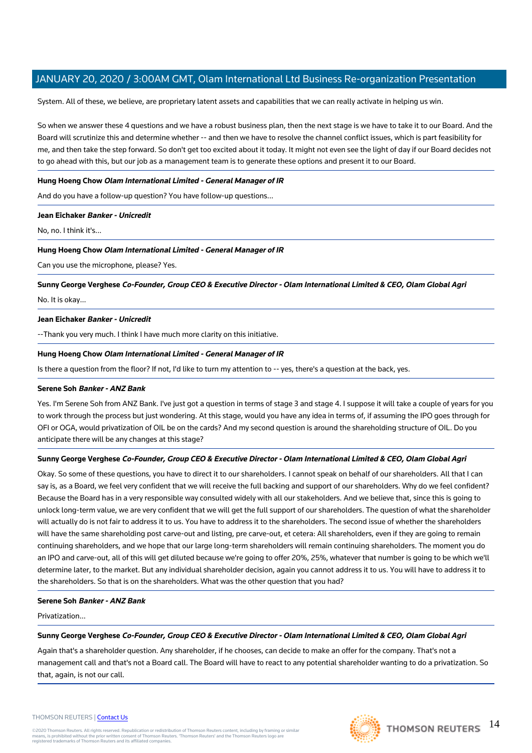System. All of these, we believe, are proprietary latent assets and capabilities that we can really activate in helping us win.

So when we answer these 4 questions and we have a robust business plan, then the next stage is we have to take it to our Board. And the Board will scrutinize this and determine whether -- and then we have to resolve the channel conflict issues, which is part feasibility for me, and then take the step forward. So don't get too excited about it today. It might not even see the light of day if our Board decides not to go ahead with this, but our job as a management team is to generate these options and present it to our Board.

#### **Hung Hoeng Chow Olam International Limited - General Manager of IR**

And do you have a follow-up question? You have follow-up questions...

#### **Jean Eichaker Banker - Unicredit**

No, no. I think it's...

#### **Hung Hoeng Chow Olam International Limited - General Manager of IR**

Can you use the microphone, please? Yes.

**Sunny George Verghese Co-Founder, Group CEO & Executive Director - Olam International Limited & CEO, Olam Global Agri**

#### No. It is okay...

#### **Jean Eichaker Banker - Unicredit**

--Thank you very much. I think I have much more clarity on this initiative.

#### **Hung Hoeng Chow Olam International Limited - General Manager of IR**

Is there a question from the floor? If not, I'd like to turn my attention to -- yes, there's a question at the back, yes.

#### **Serene Soh Banker - ANZ Bank**

Yes. I'm Serene Soh from ANZ Bank. I've just got a question in terms of stage 3 and stage 4. I suppose it will take a couple of years for you to work through the process but just wondering. At this stage, would you have any idea in terms of, if assuming the IPO goes through for OFI or OGA, would privatization of OIL be on the cards? And my second question is around the shareholding structure of OIL. Do you anticipate there will be any changes at this stage?

#### **Sunny George Verghese Co-Founder, Group CEO & Executive Director - Olam International Limited & CEO, Olam Global Agri**

Okay. So some of these questions, you have to direct it to our shareholders. I cannot speak on behalf of our shareholders. All that I can say is, as a Board, we feel very confident that we will receive the full backing and support of our shareholders. Why do we feel confident? Because the Board has in a very responsible way consulted widely with all our stakeholders. And we believe that, since this is going to unlock long-term value, we are very confident that we will get the full support of our shareholders. The question of what the shareholder will actually do is not fair to address it to us. You have to address it to the shareholders. The second issue of whether the shareholders will have the same shareholding post carve-out and listing, pre carve-out, et cetera: All shareholders, even if they are going to remain continuing shareholders, and we hope that our large long-term shareholders will remain continuing shareholders. The moment you do an IPO and carve-out, all of this will get diluted because we're going to offer 20%, 25%, whatever that number is going to be which we'll determine later, to the market. But any individual shareholder decision, again you cannot address it to us. You will have to address it to the shareholders. So that is on the shareholders. What was the other question that you had?

## **Serene Soh Banker - ANZ Bank**

Privatization...

#### **Sunny George Verghese Co-Founder, Group CEO & Executive Director - Olam International Limited & CEO, Olam Global Agri**

Again that's a shareholder question. Any shareholder, if he chooses, can decide to make an offer for the company. That's not a management call and that's not a Board call. The Board will have to react to any potential shareholder wanting to do a privatization. So that, again, is not our call.

#### THOMSON REUTERS | [Contact Us](https://my.thomsonreuters.com/ContactUsNew)

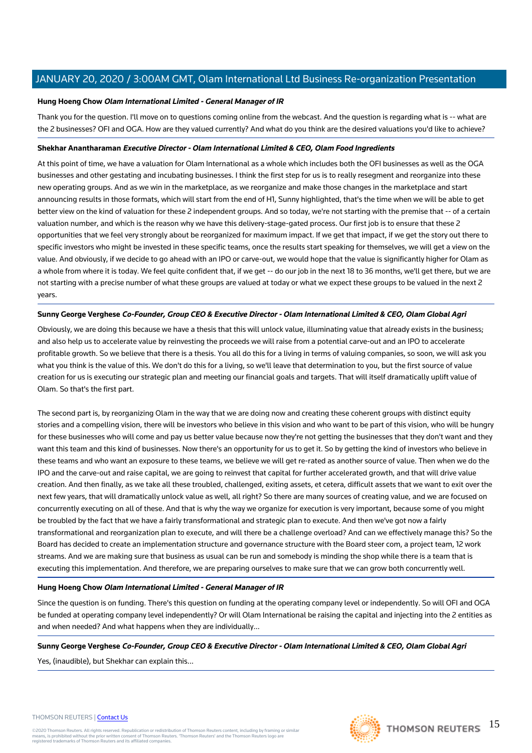#### **Hung Hoeng Chow Olam International Limited - General Manager of IR**

Thank you for the question. I'll move on to questions coming online from the webcast. And the question is regarding what is -- what are the 2 businesses? OFI and OGA. How are they valued currently? And what do you think are the desired valuations you'd like to achieve?

#### **Shekhar Anantharaman Executive Director - Olam International Limited & CEO, Olam Food Ingredients**

At this point of time, we have a valuation for Olam International as a whole which includes both the OFI businesses as well as the OGA businesses and other gestating and incubating businesses. I think the first step for us is to really resegment and reorganize into these new operating groups. And as we win in the marketplace, as we reorganize and make those changes in the marketplace and start announcing results in those formats, which will start from the end of H1, Sunny highlighted, that's the time when we will be able to get better view on the kind of valuation for these 2 independent groups. And so today, we're not starting with the premise that -- of a certain valuation number, and which is the reason why we have this delivery-stage-gated process. Our first job is to ensure that these 2 opportunities that we feel very strongly about be reorganized for maximum impact. If we get that impact, if we get the story out there to specific investors who might be invested in these specific teams, once the results start speaking for themselves, we will get a view on the value. And obviously, if we decide to go ahead with an IPO or carve-out, we would hope that the value is significantly higher for Olam as a whole from where it is today. We feel quite confident that, if we get -- do our job in the next 18 to 36 months, we'll get there, but we are not starting with a precise number of what these groups are valued at today or what we expect these groups to be valued in the next 2 years.

#### **Sunny George Verghese Co-Founder, Group CEO & Executive Director - Olam International Limited & CEO, Olam Global Agri**

Obviously, we are doing this because we have a thesis that this will unlock value, illuminating value that already exists in the business; and also help us to accelerate value by reinvesting the proceeds we will raise from a potential carve-out and an IPO to accelerate profitable growth. So we believe that there is a thesis. You all do this for a living in terms of valuing companies, so soon, we will ask you what you think is the value of this. We don't do this for a living, so we'll leave that determination to you, but the first source of value creation for us is executing our strategic plan and meeting our financial goals and targets. That will itself dramatically uplift value of Olam. So that's the first part.

The second part is, by reorganizing Olam in the way that we are doing now and creating these coherent groups with distinct equity stories and a compelling vision, there will be investors who believe in this vision and who want to be part of this vision, who will be hungry for these businesses who will come and pay us better value because now they're not getting the businesses that they don't want and they want this team and this kind of businesses. Now there's an opportunity for us to get it. So by getting the kind of investors who believe in these teams and who want an exposure to these teams, we believe we will get re-rated as another source of value. Then when we do the IPO and the carve-out and raise capital, we are going to reinvest that capital for further accelerated growth, and that will drive value creation. And then finally, as we take all these troubled, challenged, exiting assets, et cetera, difficult assets that we want to exit over the next few years, that will dramatically unlock value as well, all right? So there are many sources of creating value, and we are focused on concurrently executing on all of these. And that is why the way we organize for execution is very important, because some of you might be troubled by the fact that we have a fairly transformational and strategic plan to execute. And then we've got now a fairly transformational and reorganization plan to execute, and will there be a challenge overload? And can we effectively manage this? So the Board has decided to create an implementation structure and governance structure with the Board steer com, a project team, 12 work streams. And we are making sure that business as usual can be run and somebody is minding the shop while there is a team that is executing this implementation. And therefore, we are preparing ourselves to make sure that we can grow both concurrently well.

## **Hung Hoeng Chow Olam International Limited - General Manager of IR**

Since the question is on funding. There's this question on funding at the operating company level or independently. So will OFI and OGA be funded at operating company level independently? Or will Olam International be raising the capital and injecting into the 2 entities as and when needed? And what happens when they are individually...

**Sunny George Verghese Co-Founder, Group CEO & Executive Director - Olam International Limited & CEO, Olam Global Agri** Yes, (inaudible), but Shekhar can explain this...

#### THOMSON REUTERS | [Contact Us](https://my.thomsonreuters.com/ContactUsNew)

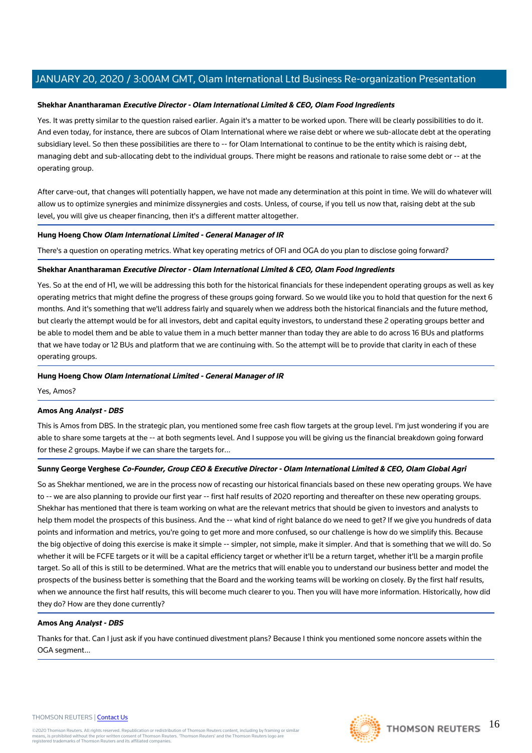#### **Shekhar Anantharaman Executive Director - Olam International Limited & CEO, Olam Food Ingredients**

Yes. It was pretty similar to the question raised earlier. Again it's a matter to be worked upon. There will be clearly possibilities to do it. And even today, for instance, there are subcos of Olam International where we raise debt or where we sub-allocate debt at the operating subsidiary level. So then these possibilities are there to -- for Olam International to continue to be the entity which is raising debt, managing debt and sub-allocating debt to the individual groups. There might be reasons and rationale to raise some debt or -- at the operating group.

After carve-out, that changes will potentially happen, we have not made any determination at this point in time. We will do whatever will allow us to optimize synergies and minimize dissynergies and costs. Unless, of course, if you tell us now that, raising debt at the sub level, you will give us cheaper financing, then it's a different matter altogether.

#### **Hung Hoeng Chow Olam International Limited - General Manager of IR**

There's a question on operating metrics. What key operating metrics of OFI and OGA do you plan to disclose going forward?

#### **Shekhar Anantharaman Executive Director - Olam International Limited & CEO, Olam Food Ingredients**

Yes. So at the end of H1, we will be addressing this both for the historical financials for these independent operating groups as well as key operating metrics that might define the progress of these groups going forward. So we would like you to hold that question for the next 6 months. And it's something that we'll address fairly and squarely when we address both the historical financials and the future method, but clearly the attempt would be for all investors, debt and capital equity investors, to understand these 2 operating groups better and be able to model them and be able to value them in a much better manner than today they are able to do across 16 BUs and platforms that we have today or 12 BUs and platform that we are continuing with. So the attempt will be to provide that clarity in each of these operating groups.

#### **Hung Hoeng Chow Olam International Limited - General Manager of IR**

Yes, Amos?

#### **Amos Ang Analyst - DBS**

This is Amos from DBS. In the strategic plan, you mentioned some free cash flow targets at the group level. I'm just wondering if you are able to share some targets at the -- at both segments level. And I suppose you will be giving us the financial breakdown going forward for these 2 groups. Maybe if we can share the targets for...

#### **Sunny George Verghese Co-Founder, Group CEO & Executive Director - Olam International Limited & CEO, Olam Global Agri**

So as Shekhar mentioned, we are in the process now of recasting our historical financials based on these new operating groups. We have to -- we are also planning to provide our first year -- first half results of 2020 reporting and thereafter on these new operating groups. Shekhar has mentioned that there is team working on what are the relevant metrics that should be given to investors and analysts to help them model the prospects of this business. And the -- what kind of right balance do we need to get? If we give you hundreds of data points and information and metrics, you're going to get more and more confused, so our challenge is how do we simplify this. Because the big objective of doing this exercise is make it simple -- simpler, not simple, make it simpler. And that is something that we will do. So whether it will be FCFE targets or it will be a capital efficiency target or whether it'll be a return target, whether it'll be a margin profile target. So all of this is still to be determined. What are the metrics that will enable you to understand our business better and model the prospects of the business better is something that the Board and the working teams will be working on closely. By the first half results, when we announce the first half results, this will become much clearer to you. Then you will have more information. Historically, how did they do? How are they done currently?

#### **Amos Ang Analyst - DBS**

Thanks for that. Can I just ask if you have continued divestment plans? Because I think you mentioned some noncore assets within the OGA segment...

#### THOMSON REUTERS | [Contact Us](https://my.thomsonreuters.com/ContactUsNew)

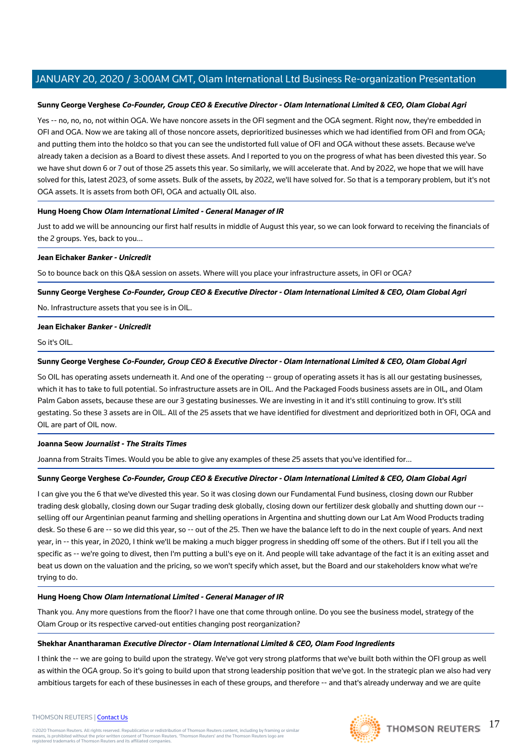#### **Sunny George Verghese Co-Founder, Group CEO & Executive Director - Olam International Limited & CEO, Olam Global Agri**

Yes -- no, no, no, not within OGA. We have noncore assets in the OFI segment and the OGA segment. Right now, they're embedded in OFI and OGA. Now we are taking all of those noncore assets, deprioritized businesses which we had identified from OFI and from OGA; and putting them into the holdco so that you can see the undistorted full value of OFI and OGA without these assets. Because we've already taken a decision as a Board to divest these assets. And I reported to you on the progress of what has been divested this year. So we have shut down 6 or 7 out of those 25 assets this year. So similarly, we will accelerate that. And by 2022, we hope that we will have solved for this, latest 2023, of some assets. Bulk of the assets, by 2022, we'll have solved for. So that is a temporary problem, but it's not OGA assets. It is assets from both OFI, OGA and actually OIL also.

#### **Hung Hoeng Chow Olam International Limited - General Manager of IR**

Just to add we will be announcing our first half results in middle of August this year, so we can look forward to receiving the financials of the 2 groups. Yes, back to you...

#### **Jean Eichaker Banker - Unicredit**

So to bounce back on this Q&A session on assets. Where will you place your infrastructure assets, in OFI or OGA?

#### **Sunny George Verghese Co-Founder, Group CEO & Executive Director - Olam International Limited & CEO, Olam Global Agri**

No. Infrastructure assets that you see is in OIL.

#### **Jean Eichaker Banker - Unicredit**

#### So it's OIL.

#### **Sunny George Verghese Co-Founder, Group CEO & Executive Director - Olam International Limited & CEO, Olam Global Agri**

So OIL has operating assets underneath it. And one of the operating -- group of operating assets it has is all our gestating businesses, which it has to take to full potential. So infrastructure assets are in OIL. And the Packaged Foods business assets are in OIL, and Olam Palm Gabon assets, because these are our 3 gestating businesses. We are investing in it and it's still continuing to grow. It's still gestating. So these 3 assets are in OIL. All of the 25 assets that we have identified for divestment and deprioritized both in OFI, OGA and OIL are part of OIL now.

#### **Joanna Seow Journalist - The Straits Times**

Joanna from Straits Times. Would you be able to give any examples of these 25 assets that you've identified for...

#### **Sunny George Verghese Co-Founder, Group CEO & Executive Director - Olam International Limited & CEO, Olam Global Agri**

I can give you the 6 that we've divested this year. So it was closing down our Fundamental Fund business, closing down our Rubber trading desk globally, closing down our Sugar trading desk globally, closing down our fertilizer desk globally and shutting down our - selling off our Argentinian peanut farming and shelling operations in Argentina and shutting down our Lat Am Wood Products trading desk. So these 6 are -- so we did this year, so -- out of the 25. Then we have the balance left to do in the next couple of years. And next year, in -- this year, in 2020, I think we'll be making a much bigger progress in shedding off some of the others. But if I tell you all the specific as -- we're going to divest, then I'm putting a bull's eye on it. And people will take advantage of the fact it is an exiting asset and beat us down on the valuation and the pricing, so we won't specify which asset, but the Board and our stakeholders know what we're trying to do.

#### **Hung Hoeng Chow Olam International Limited - General Manager of IR**

Thank you. Any more questions from the floor? I have one that come through online. Do you see the business model, strategy of the Olam Group or its respective carved-out entities changing post reorganization?

#### **Shekhar Anantharaman Executive Director - Olam International Limited & CEO, Olam Food Ingredients**

I think the -- we are going to build upon the strategy. We've got very strong platforms that we've built both within the OFI group as well as within the OGA group. So it's going to build upon that strong leadership position that we've got. In the strategic plan we also had very ambitious targets for each of these businesses in each of these groups, and therefore -- and that's already underway and we are quite

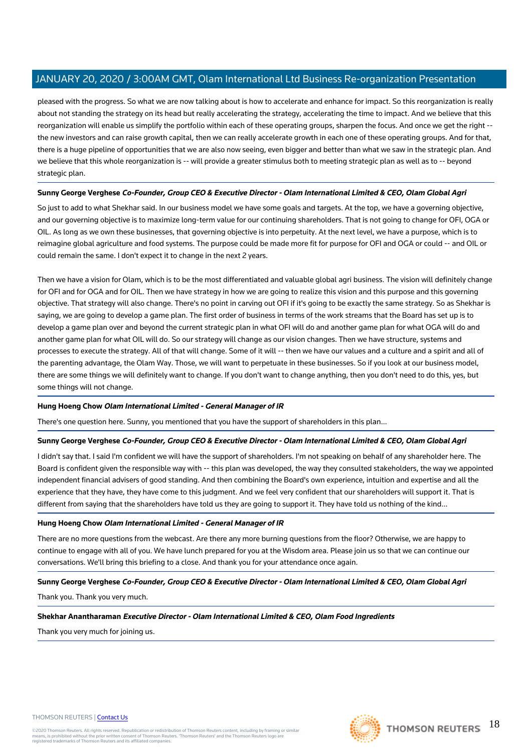pleased with the progress. So what we are now talking about is how to accelerate and enhance for impact. So this reorganization is really about not standing the strategy on its head but really accelerating the strategy, accelerating the time to impact. And we believe that this reorganization will enable us simplify the portfolio within each of these operating groups, sharpen the focus. And once we get the right - the new investors and can raise growth capital, then we can really accelerate growth in each one of these operating groups. And for that, there is a huge pipeline of opportunities that we are also now seeing, even bigger and better than what we saw in the strategic plan. And we believe that this whole reorganization is -- will provide a greater stimulus both to meeting strategic plan as well as to -- beyond strategic plan.

## **Sunny George Verghese Co-Founder, Group CEO & Executive Director - Olam International Limited & CEO, Olam Global Agri**

So just to add to what Shekhar said. In our business model we have some goals and targets. At the top, we have a governing objective, and our governing objective is to maximize long-term value for our continuing shareholders. That is not going to change for OFI, OGA or OIL. As long as we own these businesses, that governing objective is into perpetuity. At the next level, we have a purpose, which is to reimagine global agriculture and food systems. The purpose could be made more fit for purpose for OFI and OGA or could -- and OIL or could remain the same. I don't expect it to change in the next 2 years.

Then we have a vision for Olam, which is to be the most differentiated and valuable global agri business. The vision will definitely change for OFI and for OGA and for OIL. Then we have strategy in how we are going to realize this vision and this purpose and this governing objective. That strategy will also change. There's no point in carving out OFI if it's going to be exactly the same strategy. So as Shekhar is saying, we are going to develop a game plan. The first order of business in terms of the work streams that the Board has set up is to develop a game plan over and beyond the current strategic plan in what OFI will do and another game plan for what OGA will do and another game plan for what OIL will do. So our strategy will change as our vision changes. Then we have structure, systems and processes to execute the strategy. All of that will change. Some of it will -- then we have our values and a culture and a spirit and all of the parenting advantage, the Olam Way. Those, we will want to perpetuate in these businesses. So if you look at our business model, there are some things we will definitely want to change. If you don't want to change anything, then you don't need to do this, yes, but some things will not change.

## **Hung Hoeng Chow Olam International Limited - General Manager of IR**

There's one question here. Sunny, you mentioned that you have the support of shareholders in this plan...

#### **Sunny George Verghese Co-Founder, Group CEO & Executive Director - Olam International Limited & CEO, Olam Global Agri**

I didn't say that. I said I'm confident we will have the support of shareholders. I'm not speaking on behalf of any shareholder here. The Board is confident given the responsible way with -- this plan was developed, the way they consulted stakeholders, the way we appointed independent financial advisers of good standing. And then combining the Board's own experience, intuition and expertise and all the experience that they have, they have come to this judgment. And we feel very confident that our shareholders will support it. That is different from saying that the shareholders have told us they are going to support it. They have told us nothing of the kind...

#### **Hung Hoeng Chow Olam International Limited - General Manager of IR**

There are no more questions from the webcast. Are there any more burning questions from the floor? Otherwise, we are happy to continue to engage with all of you. We have lunch prepared for you at the Wisdom area. Please join us so that we can continue our conversations. We'll bring this briefing to a close. And thank you for your attendance once again.

## **Sunny George Verghese Co-Founder, Group CEO & Executive Director - Olam International Limited & CEO, Olam Global Agri**

Thank you. Thank you very much.

**Shekhar Anantharaman Executive Director - Olam International Limited & CEO, Olam Food Ingredients**

Thank you very much for joining us.